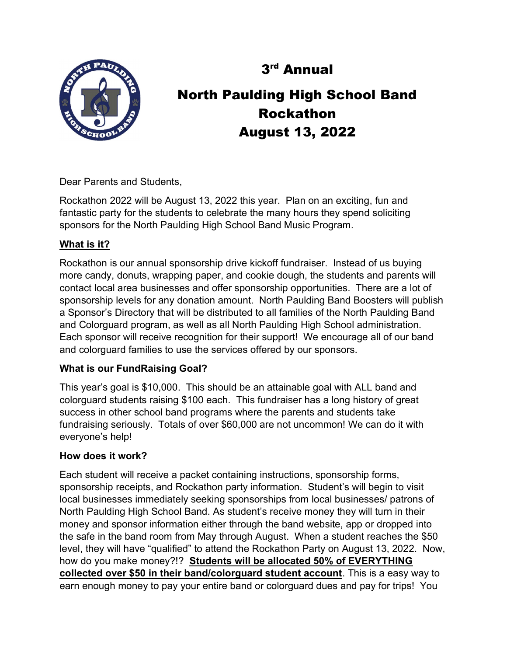

# 3<sup>rd</sup> Annual North Paulding High School Band **Rockathon** August 13, 2022

Dear Parents and Students,

Rockathon 2022 will be August 13, 2022 this year. Plan on an exciting, fun and fantastic party for the students to celebrate the many hours they spend soliciting sponsors for the North Paulding High School Band Music Program.

## What is it?

Rockathon is our annual sponsorship drive kickoff fundraiser. Instead of us buying more candy, donuts, wrapping paper, and cookie dough, the students and parents will contact local area businesses and offer sponsorship opportunities. There are a lot of sponsorship levels for any donation amount. North Paulding Band Boosters will publish a Sponsor's Directory that will be distributed to all families of the North Paulding Band and Colorguard program, as well as all North Paulding High School administration. Each sponsor will receive recognition for their support! We encourage all of our band and colorguard families to use the services offered by our sponsors.

# What is our FundRaising Goal?

This year's goal is \$10,000. This should be an attainable goal with ALL band and colorguard students raising \$100 each. This fundraiser has a long history of great success in other school band programs where the parents and students take fundraising seriously. Totals of over \$60,000 are not uncommon! We can do it with everyone's help!

### How does it work?

Each student will receive a packet containing instructions, sponsorship forms, sponsorship receipts, and Rockathon party information. Student's will begin to visit local businesses immediately seeking sponsorships from local businesses/ patrons of North Paulding High School Band. As student's receive money they will turn in their money and sponsor information either through the band website, app or dropped into the safe in the band room from May through August. When a student reaches the \$50 level, they will have "qualified" to attend the Rockathon Party on August 13, 2022. Now, how do you make money?!? Students will be allocated 50% of EVERYTHING collected over \$50 in their band/colorguard student account. This is a easy way to earn enough money to pay your entire band or colorguard dues and pay for trips! You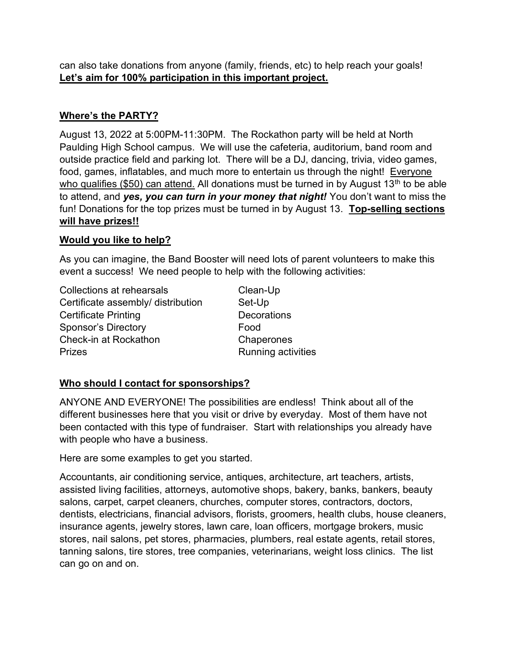can also take donations from anyone (family, friends, etc) to help reach your goals! Let's aim for 100% participation in this important project.

### Where's the PARTY?

August 13, 2022 at 5:00PM-11:30PM. The Rockathon party will be held at North Paulding High School campus. We will use the cafeteria, auditorium, band room and outside practice field and parking lot. There will be a DJ, dancing, trivia, video games, food, games, inflatables, and much more to entertain us through the night! Everyone who qualifies (\$50) can attend. All donations must be turned in by August 13<sup>th</sup> to be able to attend, and yes, you can turn in your money that night! You don't want to miss the fun! Donations for the top prizes must be turned in by August 13. Top-selling sections will have prizes!!

#### Would you like to help?

As you can imagine, the Band Booster will need lots of parent volunteers to make this event a success! We need people to help with the following activities:

Collections at rehearsals Clean-Up Certificate assembly/ distribution Set-Up Certificate Printing **Decorations** Sponsor's Directory **Food** Check-in at Rockathon Chaperones Prizes **Running activities** 

### Who should I contact for sponsorships?

ANYONE AND EVERYONE! The possibilities are endless! Think about all of the different businesses here that you visit or drive by everyday. Most of them have not been contacted with this type of fundraiser. Start with relationships you already have with people who have a business.

Here are some examples to get you started.

Accountants, air conditioning service, antiques, architecture, art teachers, artists, assisted living facilities, attorneys, automotive shops, bakery, banks, bankers, beauty salons, carpet, carpet cleaners, churches, computer stores, contractors, doctors, dentists, electricians, financial advisors, florists, groomers, health clubs, house cleaners, insurance agents, jewelry stores, lawn care, loan officers, mortgage brokers, music stores, nail salons, pet stores, pharmacies, plumbers, real estate agents, retail stores, tanning salons, tire stores, tree companies, veterinarians, weight loss clinics. The list can go on and on.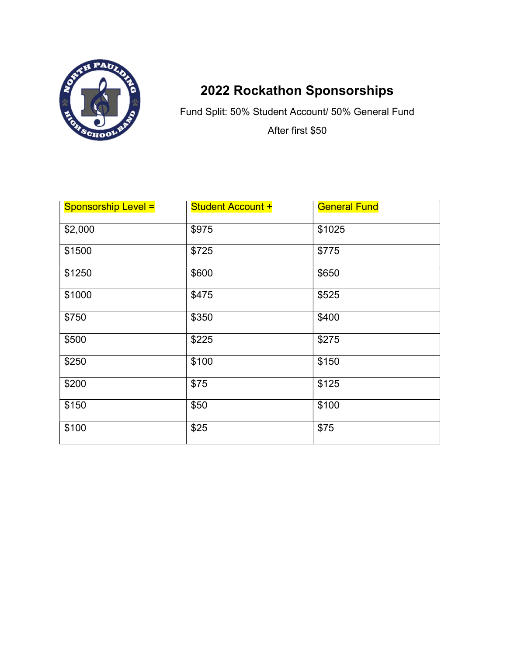

# 2022 Rockathon Sponsorships

Fund Split: 50% Student Account/ 50% General Fund

After first \$50

| <b>Sponsorship Level =</b> | <b>Student Account +</b> | <b>General Fund</b> |
|----------------------------|--------------------------|---------------------|
| \$2,000                    | \$975                    | \$1025              |
| \$1500                     | \$725                    | \$775               |
| \$1250                     | \$600                    | \$650               |
| \$1000                     | \$475                    | \$525               |
| \$750                      | \$350                    | \$400               |
| \$500                      | \$225                    | \$275               |
| \$250                      | \$100                    | \$150               |
| \$200                      | \$75                     | \$125               |
| \$150                      | \$50                     | \$100               |
| \$100                      | \$25                     | \$75                |